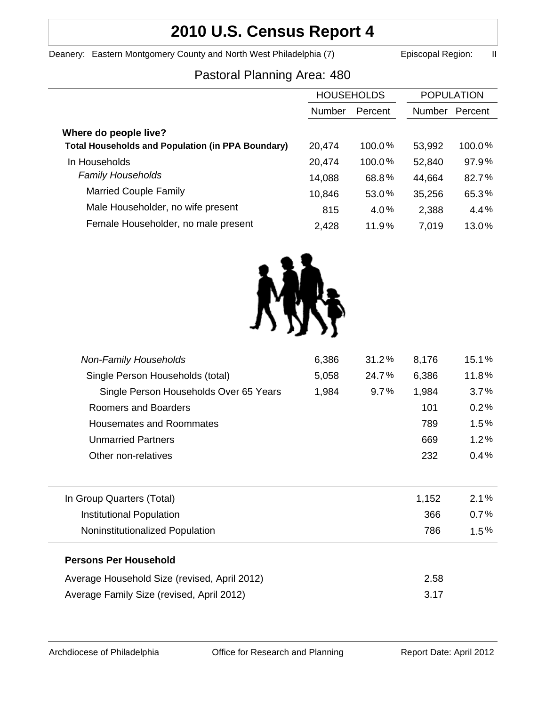# **2010 U.S. Census Report 4**

Deanery: Eastern Montgomery County and North West Philadelphia (7) Episcopal Region: II

# Pastoral Planning Area: 480

|                                                          | <b>HOUSEHOLDS</b> |         | <b>POPULATION</b> |         |
|----------------------------------------------------------|-------------------|---------|-------------------|---------|
|                                                          | Number            | Percent | <b>Number</b>     | Percent |
| Where do people live?                                    |                   |         |                   |         |
| <b>Total Households and Population (in PPA Boundary)</b> | 20,474            | 100.0%  | 53,992            | 100.0%  |
| In Households                                            | 20,474            | 100.0%  | 52,840            | 97.9%   |
| <b>Family Households</b>                                 | 14,088            | 68.8%   | 44,664            | 82.7%   |
| <b>Married Couple Family</b>                             | 10,846            | 53.0%   | 35,256            | 65.3%   |
| Male Householder, no wife present                        | 815               | 4.0%    | 2,388             | 4.4%    |
| Female Householder, no male present                      | 2,428             | 11.9%   | 7,019             | 13.0%   |
|                                                          |                   |         |                   |         |



| <b>Non-Family Households</b>                 | 6,386 | 31.2% | 8,176 | 15.1%   |
|----------------------------------------------|-------|-------|-------|---------|
| Single Person Households (total)             | 5,058 | 24.7% | 6,386 | 11.8%   |
| Single Person Households Over 65 Years       | 1,984 | 9.7%  | 1,984 | 3.7%    |
| Roomers and Boarders                         |       |       | 101   | 0.2%    |
| Housemates and Roommates                     |       |       | 789   | 1.5%    |
| <b>Unmarried Partners</b>                    |       |       | 669   | 1.2%    |
| Other non-relatives                          |       |       | 232   | 0.4%    |
| In Group Quarters (Total)                    |       |       | 1,152 | 2.1%    |
| Institutional Population                     |       |       | 366   | 0.7%    |
| Noninstitutionalized Population              |       |       | 786   | $1.5\%$ |
| <b>Persons Per Household</b>                 |       |       |       |         |
| Average Household Size (revised, April 2012) |       |       | 2.58  |         |
| Average Family Size (revised, April 2012)    |       |       | 3.17  |         |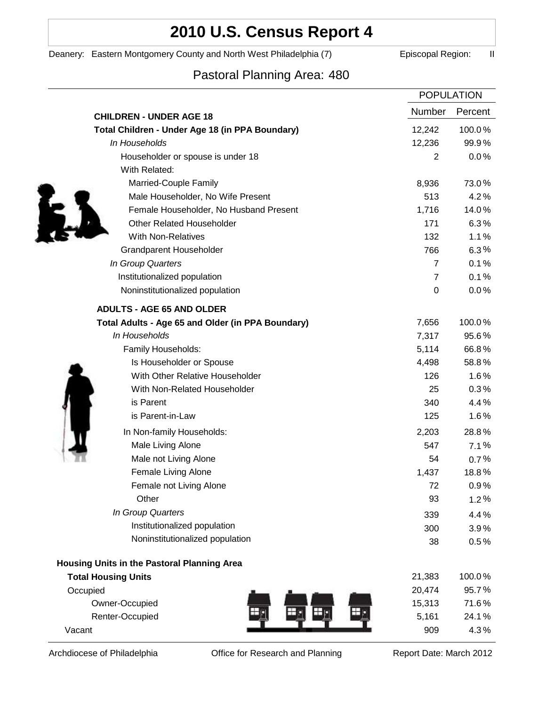# **2010 U.S. Census Report 4**

Deanery: Eastern Montgomery County and North West Philadelphia (7) Episcopal Region: II

# Pastoral Planning Area: 480

|                                                   | <b>POPULATION</b> |         |
|---------------------------------------------------|-------------------|---------|
| <b>CHILDREN - UNDER AGE 18</b>                    | Number            | Percent |
| Total Children - Under Age 18 (in PPA Boundary)   | 12,242            | 100.0%  |
| In Households                                     | 12,236            | 99.9%   |
| Householder or spouse is under 18                 | $\overline{2}$    | 0.0%    |
| With Related:                                     |                   |         |
| Married-Couple Family                             | 8,936             | 73.0%   |
| Male Householder, No Wife Present                 | 513               | 4.2%    |
| Female Householder, No Husband Present            | 1,716             | 14.0%   |
| <b>Other Related Householder</b>                  | 171               | 6.3%    |
| <b>With Non-Relatives</b>                         | 132               | 1.1%    |
| <b>Grandparent Householder</b>                    | 766               | 6.3%    |
| In Group Quarters                                 | $\overline{7}$    | 0.1%    |
| Institutionalized population                      | $\overline{7}$    | 0.1%    |
| Noninstitutionalized population                   | 0                 | $0.0\%$ |
| <b>ADULTS - AGE 65 AND OLDER</b>                  |                   |         |
| Total Adults - Age 65 and Older (in PPA Boundary) | 7,656             | 100.0%  |
| In Households                                     | 7,317             | 95.6%   |
| Family Households:                                | 5,114             | 66.8%   |
| Is Householder or Spouse                          | 4,498             | 58.8%   |
| With Other Relative Householder                   | 126               | 1.6%    |
| With Non-Related Householder                      | 25                | 0.3%    |
| is Parent                                         | 340               | 4.4%    |
| is Parent-in-Law                                  | 125               | 1.6%    |
| In Non-family Households:                         | 2,203             | 28.8%   |
| Male Living Alone                                 | 547               | 7.1%    |
| Male not Living Alone                             | 54                | $0.7\%$ |
| Female Living Alone                               | 1,437             | 18.8%   |
| Female not Living Alone                           | 72                | 0.9%    |
| Other                                             | 93                | 1.2%    |
| In Group Quarters                                 | 339               | 4.4%    |
| Institutionalized population                      | 300               | 3.9%    |
| Noninstitutionalized population                   | 38                | 0.5%    |
| Housing Units in the Pastoral Planning Area       |                   |         |
| <b>Total Housing Units</b>                        | 21,383            | 100.0%  |
| Occupied                                          | 20,474            | 95.7%   |
| Owner-Occupied                                    | 15,313            | 71.6%   |
| Renter-Occupied                                   | 5,161             | 24.1%   |
| Vacant                                            | 909               | 4.3%    |

Archdiocese of Philadelphia **Office for Research and Planning** Report Date: March 2012